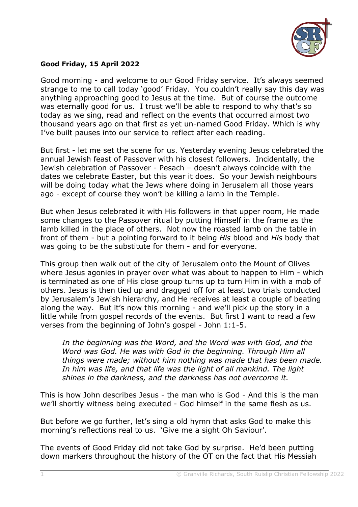

## **Good Friday, 15 April 2022**

Good morning - and welcome to our Good Friday service. It's always seemed strange to me to call today 'good' Friday. You couldn't really say this day was anything approaching good to Jesus at the time. But of course the outcome was eternally good for us. I trust we'll be able to respond to why that's so today as we sing, read and reflect on the events that occurred almost two thousand years ago on that first as yet un-named Good Friday. Which is why I've built pauses into our service to reflect after each reading.

But first - let me set the scene for us. Yesterday evening Jesus celebrated the annual Jewish feast of Passover with his closest followers. Incidentally, the Jewish celebration of Passover - Pesach – doesn't always coincide with the dates we celebrate Easter, but this year it does. So your Jewish neighbours will be doing today what the Jews where doing in Jerusalem all those years ago - except of course they won't be killing a lamb in the Temple.

But when Jesus celebrated it with His followers in that upper room, He made some changes to the Passover ritual by putting Himself in the frame as the lamb killed in the place of others. Not now the roasted lamb on the table in front of them - but a pointing forward to it being *His* blood and *His* body that was going to be the substitute for them - and for everyone.

This group then walk out of the city of Jerusalem onto the Mount of Olives where Jesus agonies in prayer over what was about to happen to Him - which is terminated as one of His close group turns up to turn Him in with a mob of others. Jesus is then tied up and dragged off for at least two trials conducted by Jerusalem's Jewish hierarchy, and He receives at least a couple of beating along the way. But it's now this morning - and we'll pick up the story in a little while from gospel records of the events. But first I want to read a few verses from the beginning of John's gospel - John 1:1-5.

*In the beginning was the Word, and the Word was with God, and the Word was God. He was with God in the beginning. Through Him all things were made; without him nothing was made that has been made. In him was life, and that life was the light of all mankind. The light shines in the darkness, and the darkness has not overcome it.*

This is how John describes Jesus - the man who is God - And this is the man we'll shortly witness being executed - God himself in the same flesh as us.

But before we go further, let's sing a old hymn that asks God to make this morning's reflections real to us. 'Give me a sight Oh Saviour'.

The events of Good Friday did not take God by surprise. He'd been putting down markers throughout the history of the OT on the fact that His Messiah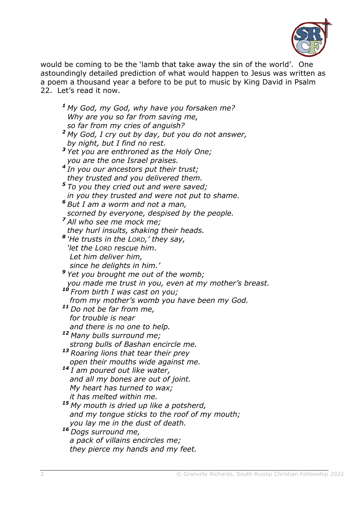

would be coming to be the 'lamb that take away the sin of the world'. One astoundingly detailed prediction of what would happen to Jesus was written as a poem a thousand year a before to be put to music by King David in Psalm 22. Let's read it now.

*<sup>1</sup> My God, my God, why have you forsaken me? Why are you so far from saving me, so far from my cries of anguish? <sup>2</sup> My God, I cry out by day, but you do not answer, by night, but I find no rest. <sup>3</sup> Yet you are enthroned as the Holy One; you are the one Israel praises. 4 In you our ancestors put their trust; they trusted and you delivered them. <sup>5</sup> To you they cried out and were saved; in you they trusted and were not put to shame. <sup>6</sup> But I am a worm and not a man, scorned by everyone, despised by the people. <sup>7</sup> All who see me mock me; they hurl insults, shaking their heads. 8 'He trusts in the LORD,' they say, 'let the LORD rescue him. Let him deliver him, since he delights in him.' <sup>9</sup> Yet you brought me out of the womb; you made me trust in you, even at my mother's breast. <sup>10</sup> From birth I was cast on you; from my mother's womb you have been my God. <sup>11</sup> Do not be far from me, for trouble is near and there is no one to help. <sup>12</sup> Many bulls surround me; strong bulls of Bashan encircle me. <sup>13</sup> Roaring lions that tear their prey open their mouths wide against me. <sup>14</sup> I am poured out like water, and all my bones are out of joint. My heart has turned to wax; it has melted within me. <sup>15</sup> My mouth is dried up like a potsherd, and my tongue sticks to the roof of my mouth; you lay me in the dust of death. <sup>16</sup> Dogs surround me, a pack of villains encircles me; they pierce my hands and my feet.*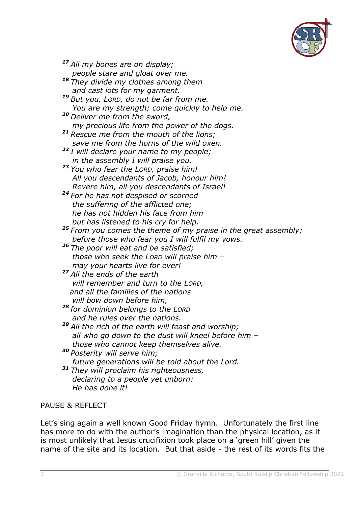

*<sup>17</sup> All my bones are on display; people stare and gloat over me. <sup>18</sup> They divide my clothes among them*

- *and cast lots for my garment.*
- *<sup>19</sup> But you, LORD, do not be far from me. You are my strength; come quickly to help me.*
- *<sup>20</sup> Deliver me from the sword, my precious life from the power of the dogs.*
- *<sup>21</sup> Rescue me from the mouth of the lions; save me from the horns of the wild oxen.*
- *<sup>22</sup> I will declare your name to my people; in the assembly I will praise you.*
- *<sup>23</sup> You who fear the LORD, praise him! All you descendants of Jacob, honour him! Revere him, all you descendants of Israel!*
- *<sup>24</sup> For he has not despised or scorned the suffering of the afflicted one; he has not hidden his face from him but has listened to his cry for help.*

*<sup>25</sup> From you comes the theme of my praise in the great assembly; before those who fear you I will fulfil my vows.*

- *<sup>26</sup> The poor will eat and be satisfied; those who seek the LORD will praise him – may your hearts live for ever!*
- *<sup>27</sup> All the ends of the earth will remember and turn to the LORD, and all the families of the nations will bow down before him,*
- *<sup>28</sup> for dominion belongs to the LORD and he rules over the nations.*
- *<sup>29</sup> All the rich of the earth will feast and worship; all who go down to the dust will kneel before him – those who cannot keep themselves alive.*
- *<sup>30</sup> Posterity will serve him; future generations will be told about the Lord. <sup>31</sup> They will proclaim his righteousness, declaring to a people yet unborn:*
	- *He has done it!*

## PAUSE & REFLECT

Let's sing again a well known Good Friday hymn. Unfortunately the first line has more to do with the author's imagination than the physical location, as it is most unlikely that Jesus crucifixion took place on a 'green hill' given the name of the site and its location. But that aside - the rest of its words fits the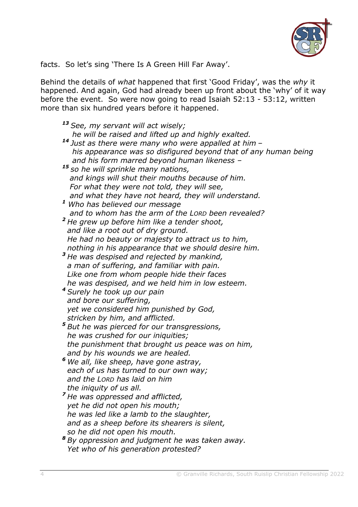

facts. So let's sing 'There Is A Green Hill Far Away'.

Behind the details of *what* happened that first 'Good Friday', was the *why* it happened. And again, God had already been up front about the 'why' of it way before the event. So were now going to read Isaiah 52:13 - 53:12, written more than six hundred years before it happened.

| <sup>13</sup> See, my servant will act wisely;                   |
|------------------------------------------------------------------|
| he will be raised and lifted up and highly exalted.              |
| <sup>14</sup> Just as there were many who were appalled at him - |
| his appearance was so disfigured beyond that of any human being  |
| and his form marred beyond human likeness -                      |
| <sup>15</sup> so he will sprinkle many nations,                  |
| and kings will shut their mouths because of him.                 |
| For what they were not told, they will see,                      |
| and what they have not heard, they will understand.              |
| <sup>1</sup> Who has believed our message                        |
| and to whom has the arm of the LORD been revealed?               |
| <sup>2</sup> He grew up before him like a tender shoot,          |
| and like a root out of dry ground.                               |
| He had no beauty or majesty to attract us to him,                |
| nothing in his appearance that we should desire him.             |
| <sup>3</sup> He was despised and rejected by mankind,            |
| a man of suffering, and familiar with pain.                      |
| Like one from whom people hide their faces                       |
| he was despised, and we held him in low esteem.                  |
| <sup>4</sup> Surely he took up our pain                          |
| and bore our suffering,                                          |
| yet we considered him punished by God,                           |
| stricken by him, and afflicted.                                  |
| <sup>5</sup> But he was pierced for our transgressions,          |
| he was crushed for our iniquities;                               |
| the punishment that brought us peace was on him,                 |
| and by his wounds we are healed.                                 |
| <sup>6</sup> We all, like sheep, have gone astray,               |
| each of us has turned to our own way;                            |
| and the LORD has laid on him                                     |
| the iniquity of us all.                                          |
| <sup>7</sup> He was oppressed and afflicted,                     |
| yet he did not open his mouth;                                   |
| he was led like a lamb to the slaughter,                         |
| and as a sheep before its shearers is silent,                    |
| so he did not open his mouth.                                    |
| <sup>8</sup> By oppression and judgment he was taken away.       |
| Yet who of his generation protested?                             |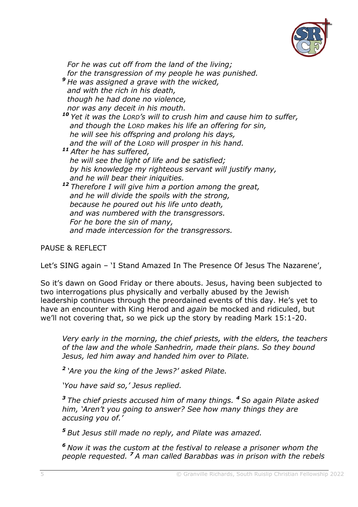

 *For he was cut off from the land of the living; for the transgression of my people he was punished. <sup>9</sup> He was assigned a grave with the wicked, and with the rich in his death, though he had done no violence, nor was any deceit in his mouth. <sup>10</sup> Yet it was the LORD's will to crush him and cause him to suffer, and though the LORD makes his life an offering for sin, he will see his offspring and prolong his days, and the will of the LORD will prosper in his hand. <sup>11</sup> After he has suffered, he will see the light of life and be satisfied; by his knowledge my righteous servant will justify many, and he will bear their iniquities. <sup>12</sup> Therefore I will give him a portion among the great, and he will divide the spoils with the strong, because he poured out his life unto death, and was numbered with the transgressors. For he bore the sin of many, and made intercession for the transgressors.*

PAUSE & REFLECT

Let's SING again – 'I Stand Amazed In The Presence Of Jesus The Nazarene',

So it's dawn on Good Friday or there abouts. Jesus, having been subjected to two interrogations plus physically and verbally abused by the Jewish leadership continues through the preordained events of this day. He's yet to have an encounter with King Herod and *again* be mocked and ridiculed, but we'll not covering that, so we pick up the story by reading Mark 15:1-20.

*Very early in the morning, the chief priests, with the elders, the teachers of the law and the whole Sanhedrin, made their plans. So they bound Jesus, led him away and handed him over to Pilate.*

*2 'Are you the king of the Jews?' asked Pilate.*

*'You have said so,' Jesus replied.*

*<sup>3</sup> The chief priests accused him of many things. <sup>4</sup> So again Pilate asked him, 'Aren't you going to answer? See how many things they are accusing you of.'*

*<sup>5</sup> But Jesus still made no reply, and Pilate was amazed.*

*<sup>6</sup> Now it was the custom at the festival to release a prisoner whom the people requested. <sup>7</sup> A man called Barabbas was in prison with the rebels*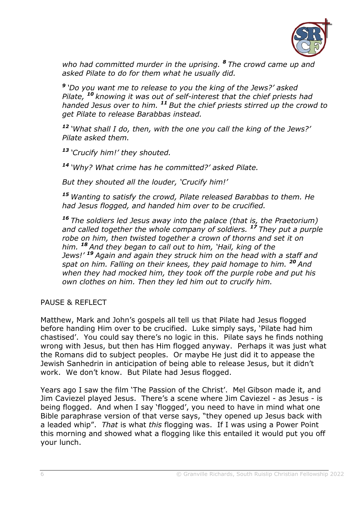

*who had committed murder in the uprising. <sup>8</sup> The crowd came up and asked Pilate to do for them what he usually did.*

*9 'Do you want me to release to you the king of the Jews?' asked Pilate, <sup>10</sup> knowing it was out of self-interest that the chief priests had handed Jesus over to him. <sup>11</sup> But the chief priests stirred up the crowd to get Pilate to release Barabbas instead.*

*<sup>12</sup> 'What shall I do, then, with the one you call the king of the Jews?' Pilate asked them.*

*<sup>13</sup> 'Crucify him!' they shouted.*

*<sup>14</sup> 'Why? What crime has he committed?' asked Pilate.*

*But they shouted all the louder, 'Crucify him!'*

*<sup>15</sup> Wanting to satisfy the crowd, Pilate released Barabbas to them. He had Jesus flogged, and handed him over to be crucified.*

*<sup>16</sup> The soldiers led Jesus away into the palace (that is, the Praetorium) and called together the whole company of soldiers. <sup>17</sup> They put a purple robe on him, then twisted together a crown of thorns and set it on him. <sup>18</sup> And they began to call out to him, 'Hail, king of the Jews!' <sup>19</sup> Again and again they struck him on the head with a staff and spat on him. Falling on their knees, they paid homage to him. <sup>20</sup> And when they had mocked him, they took off the purple robe and put his own clothes on him. Then they led him out to crucify him.*

PAUSE & REFLECT

Matthew, Mark and John's gospels all tell us that Pilate had Jesus flogged before handing Him over to be crucified. Luke simply says, 'Pilate had him chastised'. You could say there's no logic in this. Pilate says he finds nothing wrong with Jesus, but then has Him flogged anyway. Perhaps it was just what the Romans did to subject peoples. Or maybe He just did it to appease the Jewish Sanhedrin in anticipation of being able to release Jesus, but it didn't work. We don't know. But Pilate had Jesus flogged.

Years ago I saw the film 'The Passion of the Christ'. Mel Gibson made it, and Jim Caviezel played Jesus. There's a scene where Jim Caviezel - as Jesus - is being flogged. And when I say 'flogged', you need to have in mind what one Bible paraphrase version of that verse says, "they opened up Jesus back with a leaded whip". *That* is what *this* flogging was. If I was using a Power Point this morning and showed what a flogging like this entailed it would put you off your lunch.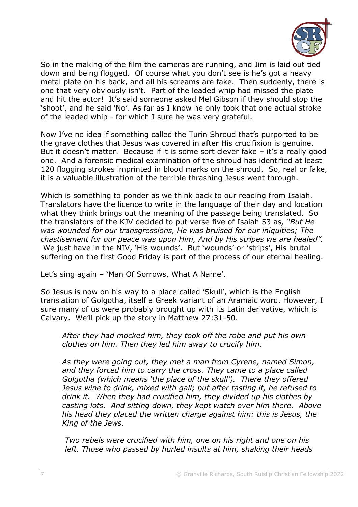

So in the making of the film the cameras are running, and Jim is laid out tied down and being flogged. Of course what you don't see is he's got a heavy metal plate on his back, and all his screams are fake. Then suddenly, there is one that very obviously isn't. Part of the leaded whip had missed the plate and hit the actor! It's said someone asked Mel Gibson if they should stop the 'shoot', and he said 'No'. As far as I know he only took that one actual stroke of the leaded whip - for which I sure he was very grateful.

Now I've no idea if something called the Turin Shroud that's purported to be the grave clothes that Jesus was covered in after His crucifixion is genuine. But it doesn't matter. Because if it is some sort clever fake – it's a really good one. And a forensic medical examination of the shroud has identified at least 120 flogging strokes imprinted in blood marks on the shroud. So, real or fake, it is a valuable illustration of the terrible thrashing Jesus went through.

Which is something to ponder as we think back to our reading from Isaiah. Translators have the licence to write in the language of their day and location what they think brings out the meaning of the passage being translated. So the translators of the KJV decided to put verse five of Isaiah 53 as*, "But He was wounded for our transgressions, He was bruised for our iniquities; The chastisement for our peace was upon Him, And by His stripes we are healed".* We just have in the NIV, 'His wounds'. But 'wounds' or 'strips', His brutal suffering on the first Good Friday is part of the process of our eternal healing.

Let's sing again – 'Man Of Sorrows, What A Name'.

So Jesus is now on his way to a place called 'Skull', which is the English translation of Golgotha, itself a Greek variant of an Aramaic word. However, I sure many of us were probably brought up with its Latin derivative, which is Calvary. We'll pick up the story in Matthew 27:31-50.

*After they had mocked him, they took off the robe and put his own clothes on him. Then they led him away to crucify him.*

*As they were going out, they met a man from Cyrene, named Simon, and they forced him to carry the cross. They came to a place called Golgotha (which means 'the place of the skull'). There they offered Jesus wine to drink, mixed with gall; but after tasting it, he refused to drink it. When they had crucified him, they divided up his clothes by casting lots. And sitting down, they kept watch over him there. Above his head they placed the written charge against him: this is Jesus, the King of the Jews.*

*Two rebels were crucified with him, one on his right and one on his left. Those who passed by hurled insults at him, shaking their heads*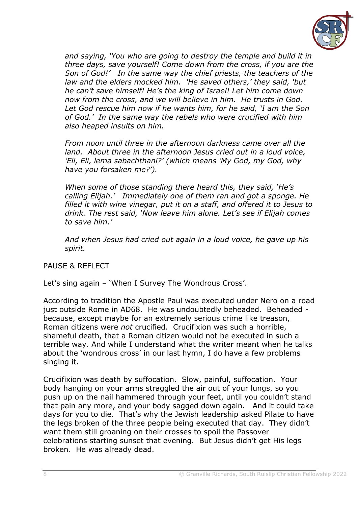

*and saying, 'You who are going to destroy the temple and build it in three days, save yourself! Come down from the cross, if you are the Son of God!' In the same way the chief priests, the teachers of the law and the elders mocked him. 'He saved others,' they said, 'but he can't save himself! He's the king of Israel! Let him come down now from the cross, and we will believe in him. He trusts in God. Let God rescue him now if he wants him, for he said, 'I am the Son of God.' In the same way the rebels who were crucified with him also heaped insults on him.*

*From noon until three in the afternoon darkness came over all the land. About three in the afternoon Jesus cried out in a loud voice, 'Eli, Eli, lema sabachthani?' (which means 'My God, my God, why have you forsaken me?').*

*When some of those standing there heard this, they said, 'He's calling Elijah.' Immediately one of them ran and got a sponge. He filled it with wine vinegar, put it on a staff, and offered it to Jesus to drink. The rest said, 'Now leave him alone. Let's see if Elijah comes to save him.'*

*And when Jesus had cried out again in a loud voice, he gave up his spirit.*

PAUSE & REFLECT

Let's sing again – 'When I Survey The Wondrous Cross'.

According to tradition the Apostle Paul was executed under Nero on a road just outside Rome in AD68. He was undoubtedly beheaded. Beheaded because, except maybe for an extremely serious crime like treason, Roman citizens were *not* crucified. Crucifixion was such a horrible, shameful death, that a Roman citizen would not be executed in such a terrible way. And while I understand what the writer meant when he talks about the 'wondrous cross' in our last hymn, I do have a few problems singing it.

Crucifixion was death by suffocation. Slow, painful, suffocation. Your body hanging on your arms straggled the air out of your lungs, so you push up on the nail hammered through your feet, until you couldn't stand that pain any more, and your body sagged down again. And it could take days for you to die. That's why the Jewish leadership asked Pilate to have the legs broken of the three people being executed that day. They didn't want them still groaning on their crosses to spoil the Passover celebrations starting sunset that evening. But Jesus didn't get His legs broken. He was already dead.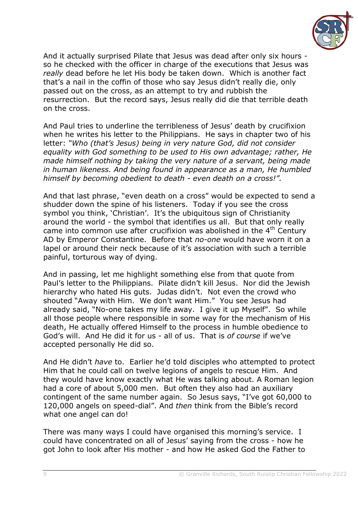

And it actually surprised Pilate that Jesus was dead after only six hours so he checked with the officer in charge of the executions that Jesus was *really* dead before he let His body be taken down. Which is another fact that's a nail in the coffin of those who say Jesus didn't really die, only passed out on the cross, as an attempt to try and rubbish the resurrection. But the record says, Jesus really did die that terrible death on the cross.

And Paul tries to underline the terribleness of Jesus' death by crucifixion when he writes his letter to the Philippians. He says in chapter two of his letter: *"Who (that's Jesus) being in very nature God, did not consider equality with God something to be used to His own advantage; rather, He made himself nothing by taking the very nature of a servant, being made in human likeness. And being found in appearance as a man, He humbled himself by becoming obedient to death - even death on a cross!".*

And that last phrase, "even death on a cross" would be expected to send a shudder down the spine of his listeners. Today if you see the cross symbol you think, 'Christian'. It's the ubiquitous sign of Christianity around the world - the symbol that identifies us all. But that only really came into common use after crucifixion was abolished in the  $4<sup>th</sup>$  Century AD by Emperor Constantine. Before that *no-one* would have worn it on a lapel or around their neck because of it's association with such a terrible painful, torturous way of dying.

And in passing, let me highlight something else from that quote from Paul's letter to the Philippians. Pilate didn't kill Jesus. Nor did the Jewish hierarchy who hated His guts. Judas didn't. Not even the crowd who shouted "Away with Him. We don't want Him." You see Jesus had already said, "No-one takes my life away. I give it up Myself". So while all those people where responsible in some way for the mechanism of His death, He actually offered Himself to the process in humble obedience to God's will. And He did it for us - all of us. That is *of course* if we've accepted personally He did so.

And He didn't *have* to. Earlier he'd told disciples who attempted to protect Him that he could call on twelve legions of angels to rescue Him. And they would have know exactly what He was talking about. A Roman legion had a core of about 5,000 men. But often they also had an auxiliary contingent of the same number again. So Jesus says, "I've got 60,000 to 120,000 angels on speed-dial". And *then* think from the Bible's record what one angel can do!

There was many ways I could have organised this morning's service. I could have concentrated on all of Jesus' saying from the cross - how he got John to look after His mother - and how He asked God the Father to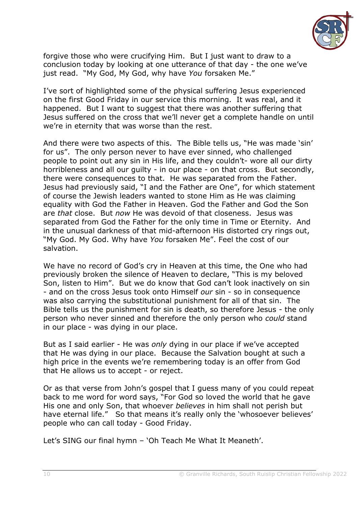

forgive those who were crucifying Him. But I just want to draw to a conclusion today by looking at one utterance of that day - the one we've just read. "My God, My God, why have *You* forsaken Me."

I've sort of highlighted some of the physical suffering Jesus experienced on the first Good Friday in our service this morning. It was real, and it happened. But I want to suggest that there was another suffering that Jesus suffered on the cross that we'll never get a complete handle on until we're in eternity that was worse than the rest.

And there were two aspects of this. The Bible tells us, "He was made 'sin' for us". The only person never to have ever sinned, who challenged people to point out any sin in His life, and they couldn't- wore all our dirty horribleness and all our guilty - in our place - on that cross. But secondly, there were consequences to that. He was separated from the Father. Jesus had previously said, "I and the Father are One", for which statement of course the Jewish leaders wanted to stone Him as He was claiming equality with God the Father in Heaven. God the Father and God the Son are *that* close. But *now* He was devoid of that closeness. Jesus was separated from God the Father for the only time in Time or Eternity. And in the unusual darkness of that mid-afternoon His distorted cry rings out, "My God. My God. Why have *You* forsaken Me". Feel the cost of our salvation.

We have no record of God's cry in Heaven at this time, the One who had previously broken the silence of Heaven to declare, "This is my beloved Son, listen to Him". But we do know that God can't look inactively on sin - and on the cross Jesus took onto Himself *our* sin - so in consequence was also carrying the substitutional punishment for all of that sin. The Bible tells us the punishment for sin is death, so therefore Jesus - the only person who never sinned and therefore the only person who *could* stand in our place - was dying in our place.

But as I said earlier - He was *only* dying in our place if we've accepted that He was dying in our place. Because the Salvation bought at such a high price in the events we're remembering today is an offer from God that He allows us to accept - or reject.

Or as that verse from John's gospel that I guess many of you could repeat back to me word for word says, "For God so loved the world that he gave His one and only Son, that whoever *believes* in him shall not perish but have eternal life." So that means it's really only the 'whosoever believes' people who can call today - Good Friday.

Let's SING our final hymn – 'Oh Teach Me What It Meaneth'.